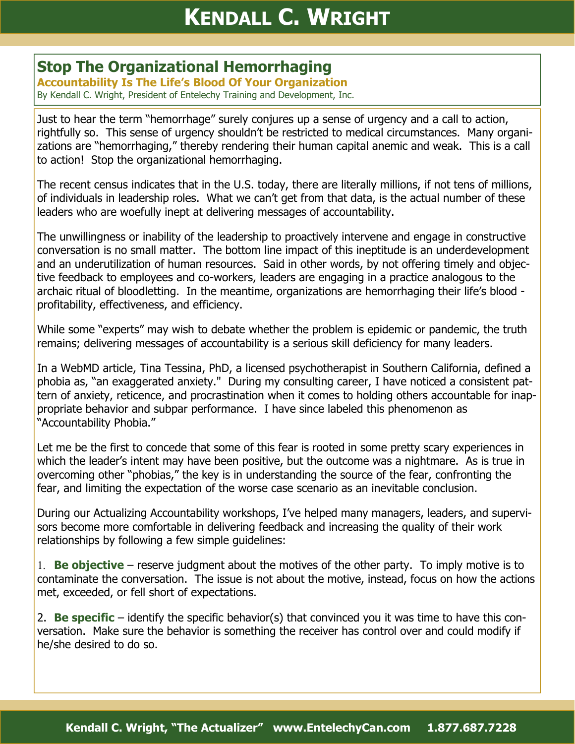## **Stop The Organizational Hemorrhaging**

**Accountability Is The Life's Blood Of Your Organization**  By Kendall C. Wright, President of Entelechy Training and Development, Inc.

Just to hear the term "hemorrhage" surely conjures up a sense of urgency and a call to action, rightfully so. This sense of urgency shouldn't be restricted to medical circumstances. Many organizations are "hemorrhaging," thereby rendering their human capital anemic and weak. This is a call to action! Stop the organizational hemorrhaging.

The recent census indicates that in the U.S. today, there are literally millions, if not tens of millions, of individuals in leadership roles. What we can't get from that data, is the actual number of these leaders who are woefully inept at delivering messages of accountability.

The unwillingness or inability of the leadership to proactively intervene and engage in constructive conversation is no small matter. The bottom line impact of this ineptitude is an underdevelopment and an underutilization of human resources. Said in other words, by not offering timely and objective feedback to employees and co-workers, leaders are engaging in a practice analogous to the archaic ritual of bloodletting. In the meantime, organizations are hemorrhaging their life's blood profitability, effectiveness, and efficiency.

While some "experts" may wish to debate whether the problem is epidemic or pandemic, the truth remains; delivering messages of accountability is a serious skill deficiency for many leaders.

In a WebMD article, Tina Tessina, PhD, a licensed psychotherapist in Southern California, defined a phobia as, "an exaggerated anxiety." During my consulting career, I have noticed a consistent pattern of anxiety, reticence, and procrastination when it comes to holding others accountable for inappropriate behavior and subpar performance. I have since labeled this phenomenon as "Accountability Phobia."

Let me be the first to concede that some of this fear is rooted in some pretty scary experiences in which the leader's intent may have been positive, but the outcome was a nightmare. As is true in overcoming other "phobias," the key is in understanding the source of the fear, confronting the fear, and limiting the expectation of the worse case scenario as an inevitable conclusion.

During our Actualizing Accountability workshops, I've helped many managers, leaders, and supervisors become more comfortable in delivering feedback and increasing the quality of their work relationships by following a few simple guidelines:

1. **Be objective** – reserve judgment about the motives of the other party. To imply motive is to contaminate the conversation. The issue is not about the motive, instead, focus on how the actions met, exceeded, or fell short of expectations.

2. **Be specific** – identify the specific behavior(s) that convinced you it was time to have this conversation. Make sure the behavior is something the receiver has control over and could modify if he/she desired to do so.